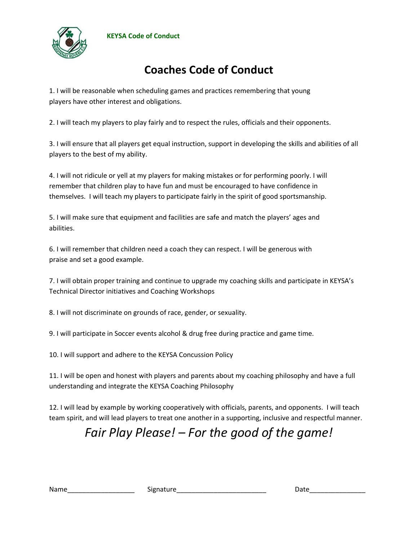#### **KEYSA Code of Conduct**



#### **Coaches Code of Conduct**

1. I will be reasonable when scheduling games and practices remembering that young players have other interest and obligations.

2. I will teach my players to play fairly and to respect the rules, officials and their opponents.

3. I will ensure that all players get equal instruction, support in developing the skills and abilities of all players to the best of my ability.

4. I will not ridicule or yell at my players for making mistakes or for performing poorly. I will remember that children play to have fun and must be encouraged to have confidence in themselves. I will teach my players to participate fairly in the spirit of good sportsmanship.

5. I will make sure that equipment and facilities are safe and match the players' ages and abilities.

6. I will remember that children need a coach they can respect. I will be generous with praise and set a good example.

7. I will obtain proper training and continue to upgrade my coaching skills and participate in KEYSA's Technical Director initiatives and Coaching Workshops

8. I will not discriminate on grounds of race, gender, or sexuality.

9. I will participate in Soccer events alcohol & drug free during practice and game time.

10. I will support and adhere to the KEYSA Concussion Policy

11. I will be open and honest with players and parents about my coaching philosophy and have a full understanding and integrate the KEYSA Coaching Philosophy

12. I will lead by example by working cooperatively with officials, parents, and opponents. I will teach team spirit, and will lead players to treat one another in a supporting, inclusive and respectful manner.

## *Fair Play Please! – For the good of the game!*

Name\_\_\_\_\_\_\_\_\_\_\_\_\_\_\_\_\_\_ Signature\_\_\_\_\_\_\_\_\_\_\_\_\_\_\_\_\_\_\_\_\_\_\_\_ Date\_\_\_\_\_\_\_\_\_\_\_\_\_\_\_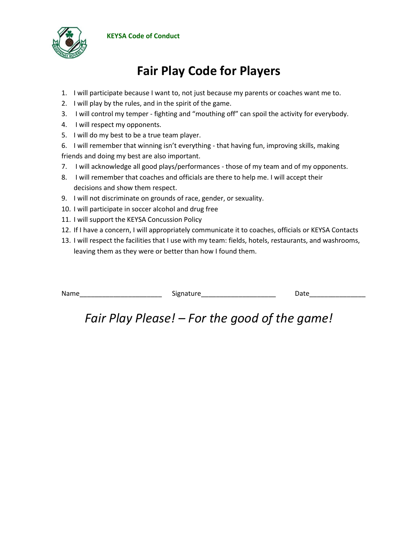#### **KEYSA Code of Conduct**



### **Fair Play Code for Players**

- 1. I will participate because I want to, not just because my parents or coaches want me to.
- 2. I will play by the rules, and in the spirit of the game.
- 3. I will control my temper fighting and "mouthing off" can spoil the activity for everybody.
- 4. I will respect my opponents.
- 5. I will do my best to be a true team player.

6. I will remember that winning isn't everything - that having fun, improving skills, making friends and doing my best are also important.

- 7. I will acknowledge all good plays/performances those of my team and of my opponents.
- 8. I will remember that coaches and officials are there to help me. I will accept their decisions and show them respect.
- 9. I will not discriminate on grounds of race, gender, or sexuality.
- 10. I will participate in soccer alcohol and drug free
- 11. I will support the KEYSA Concussion Policy
- 12. If I have a concern, I will appropriately communicate it to coaches, officials or KEYSA Contacts
- 13. I will respect the facilities that I use with my team: fields, hotels, restaurants, and washrooms, leaving them as they were or better than how I found them.

| Name | --<br>Signature | -<br>,,,,,<br>Jate |
|------|-----------------|--------------------|
|      |                 |                    |

## *Fair Play Please! – For the good of the game!*